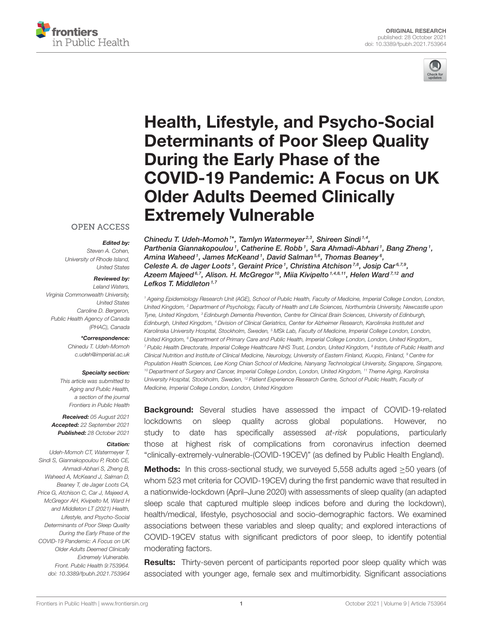



# Health, Lifestyle, and Psycho-Social Determinants of Poor Sleep Quality During the Early Phase of the [COVID-19 Pandemic: A Focus on UK](https://www.frontiersin.org/articles/10.3389/fpubh.2021.753964/full) Older Adults Deemed Clinically Extremely Vulnerable

#### **OPEN ACCESS**

#### Edited by:

*Steven A. Cohen, University of Rhode Island, United States*

#### Reviewed by:

*Leland Waters, Virginia Commonwealth University, United States Caroline D. Bergeron, Public Health Agency of Canada (PHAC), Canada*

#### \*Correspondence:

*Chinedu T. Udeh-Momoh [c.udeh@imperial.ac.uk](mailto:c.udeh@imperial.ac.uk)*

#### Specialty section:

*This article was submitted to Aging and Public Health, a section of the journal Frontiers in Public Health*

Received: *05 August 2021* Accepted: *22 September 2021* Published: *28 October 2021*

#### Citation:

*Udeh-Momoh CT, Watermeyer T, Sindi S, Giannakopoulou P, Robb CE, Ahmadi-Abhari S, Zheng B, Waheed A, McKeand J, Salman D, Beaney T, de Jager Loots CA, Price G, Atchison C, Car J, Majeed A, McGregor AH, Kivipelto M, Ward H and Middleton LT (2021) Health, Lifestyle, and Psycho-Social Determinants of Poor Sleep Quality During the Early Phase of the COVID-19 Pandemic: A Focus on UK Older Adults Deemed Clinically Extremely Vulnerable. Front. Public Health 9:753964. doi: [10.3389/fpubh.2021.753964](https://doi.org/10.3389/fpubh.2021.753964)*

Chinedu T. Udeh-Momoh<sup>1\*</sup>, Tamlyn Watermeyer<sup>2,3</sup>, Shireen Sindi<sup>1,4</sup>, Parthenia Giannakopoulou1, Catherine E. Robb1, Sara Ahmadi-Abhari1, Bang Zheng1, Amina Waheed <sup>1</sup>, James McKeand <sup>1</sup>, David Salman 5,6, Thomas Beaney <sup>6</sup>, Celeste A. de Jager Loots<sup>1</sup>, Geraint Price<sup>1</sup>, Christina Atchison<sup>7,8</sup>, Josip Car<sup>6,7,9</sup>, Azeem Majeed<sup>6,7</sup>, Alison. H. McGregor<sup>10</sup>, Miia Kivipelto<sup>1,4,8,11</sup>, Helen Ward<sup>7,12</sup> and Lefkos T. Middleton $1,7$ 

*<sup>1</sup> Ageing Epidemiology Research Unit (AGE), School of Public Health, Faculty of Medicine, Imperial College London, London, United Kingdom, <sup>2</sup> Department of Psychology, Faculty of Health and Life Sciences, Northumbria University, Newcastle upon Tyne, United Kingdom, <sup>3</sup> Edinburgh Dementia Prevention, Centre for Clinical Brain Sciences, University of Edinburgh, Edinburgh, United Kingdom, <sup>4</sup> Division of Clinical Geriatrics, Center for Alzheimer Research, Karolinska Institutet and Karolinska University Hospital, Stockholm, Sweden, <sup>5</sup> MSk Lab, Faculty of Medicine, Imperial College London, London, United Kingdom, <sup>6</sup> Department of Primary Care and Public Health, Imperial College London, London, United Kingdom,, <sup>7</sup> Public Health Directorate, Imperial College Healthcare NHS Trust, London, United Kingdom, <sup>8</sup> Institute of Public Health and Clinical Nutrition and Institute of Clinical Medicine, Neurology, University of Eastern Finland, Kuopio, Finland, <sup>9</sup> Centre for Population Health Sciences, Lee Kong Chian School of Medicine, Nanyang Technological University, Singapore, Singapore, <sup>10</sup> Department of Surgery and Cancer, Imperial College London, London, United Kingdom, <sup>11</sup> Theme Aging, Karolinska University Hospital, Stockholm, Sweden, <sup>12</sup> Patient Experience Research Centre, School of Public Health, Faculty of Medicine, Imperial College London, London, United Kingdom*

Background: Several studies have assessed the impact of COVID-19-related lockdowns on sleep quality across global populations. However, no study to date has specifically assessed *at-risk* populations, particularly those at highest risk of complications from coronavirus infection deemed "clinically-extremely-vulnerable-(COVID-19CEV)" (as defined by Public Health England).

Methods: In this cross-sectional study, we surveyed 5,558 adults aged ≥50 years (of whom 523 met criteria for COVID-19CEV) during the first pandemic wave that resulted in a nationwide-lockdown (April–June 2020) with assessments of sleep quality (an adapted sleep scale that captured multiple sleep indices before and during the lockdown), health/medical, lifestyle, psychosocial and socio-demographic factors. We examined associations between these variables and sleep quality; and explored interactions of COVID-19CEV status with significant predictors of poor sleep, to identify potential moderating factors.

**Results:** Thirty-seven percent of participants reported poor sleep quality which was associated with younger age, female sex and multimorbidity. Significant associations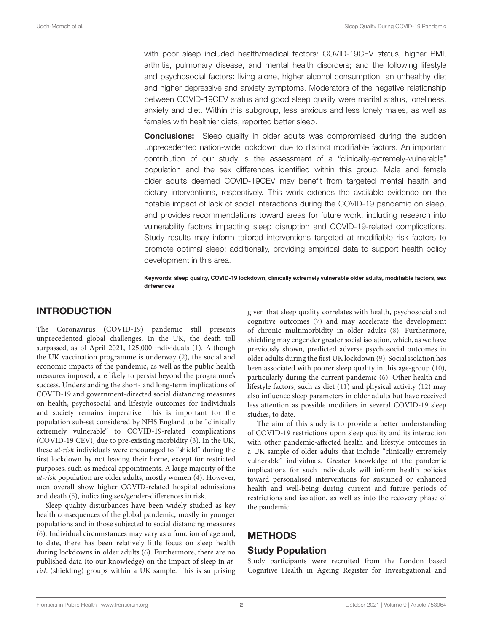with poor sleep included health/medical factors: COVID-19CEV status, higher BMI, arthritis, pulmonary disease, and mental health disorders; and the following lifestyle and psychosocial factors: living alone, higher alcohol consumption, an unhealthy diet and higher depressive and anxiety symptoms. Moderators of the negative relationship between COVID-19CEV status and good sleep quality were marital status, loneliness, anxiety and diet. Within this subgroup, less anxious and less lonely males, as well as females with healthier diets, reported better sleep.

**Conclusions:** Sleep quality in older adults was compromised during the sudden unprecedented nation-wide lockdown due to distinct modifiable factors. An important contribution of our study is the assessment of a "clinically-extremely-vulnerable" population and the sex differences identified within this group. Male and female older adults deemed COVID-19CEV may benefit from targeted mental health and dietary interventions, respectively. This work extends the available evidence on the notable impact of lack of social interactions during the COVID-19 pandemic on sleep, and provides recommendations toward areas for future work, including research into vulnerability factors impacting sleep disruption and COVID-19-related complications. Study results may inform tailored interventions targeted at modifiable risk factors to promote optimal sleep; additionally, providing empirical data to support health policy development in this area.

Keywords: sleep quality, COVID-19 lockdown, clinically extremely vulnerable older adults, modifiable factors, sex differences

# INTRODUCTION

The Coronavirus (COVID-19) pandemic still presents unprecedented global challenges. In the UK, the death toll surpassed, as of April 2021, 125,000 individuals [\(1\)](#page-9-0). Although the UK vaccination programme is underway [\(2\)](#page-9-1), the social and economic impacts of the pandemic, as well as the public health measures imposed, are likely to persist beyond the programme's success. Understanding the short- and long-term implications of COVID-19 and government-directed social distancing measures on health, psychosocial and lifestyle outcomes for individuals and society remains imperative. This is important for the population sub-set considered by NHS England to be "clinically extremely vulnerable" to COVID-19-related complications (COVID-19 CEV), due to pre-existing morbidity [\(3\)](#page-10-0). In the UK, these at-risk individuals were encouraged to "shield" during the first lockdown by not leaving their home, except for restricted purposes, such as medical appointments. A large majority of the at-risk population are older adults, mostly women [\(4\)](#page-10-1). However, men overall show higher COVID-related hospital admissions and death [\(5\)](#page-10-2), indicating sex/gender-differences in risk.

Sleep quality disturbances have been widely studied as key health consequences of the global pandemic, mostly in younger populations and in those subjected to social distancing measures [\(6\)](#page-10-3). Individual circumstances may vary as a function of age and, to date, there has been relatively little focus on sleep health during lockdowns in older adults [\(6\)](#page-10-3). Furthermore, there are no published data (to our knowledge) on the impact of sleep in atrisk (shielding) groups within a UK sample. This is surprising given that sleep quality correlates with health, psychosocial and cognitive outcomes [\(7\)](#page-10-4) and may accelerate the development of chronic multimorbidity in older adults [\(8\)](#page-10-5). Furthermore, shielding may engender greater social isolation, which, as we have previously shown, predicted adverse psychosocial outcomes in older adults during the first UK lockdown [\(9\)](#page-10-6). Social isolation has been associated with poorer sleep quality in this age-group [\(10\)](#page-10-7), particularly during the current pandemic [\(6\)](#page-10-3). Other health and lifestyle factors, such as diet [\(11\)](#page-10-8) and physical activity [\(12\)](#page-10-9) may also influence sleep parameters in older adults but have received less attention as possible modifiers in several COVID-19 sleep studies, to date.

The aim of this study is to provide a better understanding of COVID-19 restrictions upon sleep quality and its interaction with other pandemic-affected health and lifestyle outcomes in a UK sample of older adults that include "clinically extremely vulnerable" individuals. Greater knowledge of the pandemic implications for such individuals will inform health policies toward personalised interventions for sustained or enhanced health and well-being during current and future periods of restrictions and isolation, as well as into the recovery phase of the pandemic.

## METHODS

## Study Population

Study participants were recruited from the London based Cognitive Health in Ageing Register for Investigational and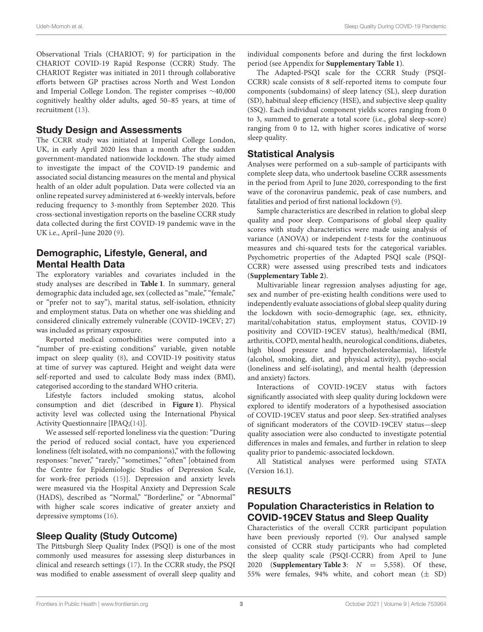Observational Trials (CHARIOT; 9) for participation in the CHARIOT COVID-19 Rapid Response (CCRR) Study. The CHARIOT Register was initiated in 2011 through collaborative efforts between GP practises across North and West London and Imperial College London. The register comprises ∼40,000 cognitively healthy older adults, aged 50–85 years, at time of recruitment [\(13\)](#page-10-10).

### Study Design and Assessments

The CCRR study was initiated at Imperial College London, UK, in early April 2020 less than a month after the sudden government-mandated nationwide lockdown. The study aimed to investigate the impact of the COVID-19 pandemic and associated social distancing measures on the mental and physical health of an older adult population. Data were collected via an online repeated survey administered at 6-weekly intervals, before reducing frequency to 3-monthly from September 2020. This cross-sectional investigation reports on the baseline CCRR study data collected during the first COVID-19 pandemic wave in the UK i.e., April–June 2020 [\(9\)](#page-10-6).

# Demographic, Lifestyle, General, and Mental Health Data

The exploratory variables and covariates included in the study analyses are described in **[Table 1](#page-3-0)**. In summary, general demographic data included age, sex (collected as "male," "female," or "prefer not to say"), marital status, self-isolation, ethnicity and employment status. Data on whether one was shielding and considered clinically extremely vulnerable (COVID-19CEV; 27) was included as primary exposure.

Reported medical comorbidities were computed into a "number of pre-existing conditions" variable, given notable impact on sleep quality [\(8\)](#page-10-5), and COVID-19 positivity status at time of survey was captured. Height and weight data were self-reported and used to calculate Body mass index (BMI), categorised according to the standard WHO criteria.

Lifestyle factors included smoking status, alcohol consumption and diet (described in **[Figure 1](#page-4-0)**). Physical activity level was collected using the International Physical Activity Questionnaire [IPAQ;[\(14\)](#page-10-11)].

We assessed self-reported loneliness via the question: "During the period of reduced social contact, have you experienced loneliness (felt isolated, with no companions)," with the following responses: "never," "rarely," "sometimes," "often" [obtained from the Centre for Epidemiologic Studies of Depression Scale, for work-free periods [\(15\)](#page-10-12)]. Depression and anxiety levels were measured via the Hospital Anxiety and Depression Scale (HADS), described as "Normal," "Borderline," or "Abnormal" with higher scale scores indicative of greater anxiety and depressive symptoms [\(16\)](#page-10-13).

# Sleep Quality (Study Outcome)

The Pittsburgh Sleep Quality Index (PSQI) is one of the most commonly used measures for assessing sleep disturbances in clinical and research settings [\(17\)](#page-10-14). In the CCRR study, the PSQI was modified to enable assessment of overall sleep quality and individual components before and during the first lockdown period (see Appendix for **[Supplementary Table 1](#page-9-2)**).

The Adapted-PSQI scale for the CCRR Study (PSQI-CCRR) scale consists of 8 self-reported items to compute four components (subdomains) of sleep latency (SL), sleep duration (SD), habitual sleep efficiency (HSE), and subjective sleep quality (SSQ). Each individual component yields scores ranging from 0 to 3, summed to generate a total score (i.e., global sleep-score) ranging from 0 to 12, with higher scores indicative of worse sleep quality.

## Statistical Analysis

Analyses were performed on a sub-sample of participants with complete sleep data, who undertook baseline CCRR assessments in the period from April to June 2020, corresponding to the first wave of the coronavirus pandemic, peak of case numbers, and fatalities and period of first national lockdown [\(9\)](#page-10-6).

Sample characteristics are described in relation to global sleep quality and poor sleep. Comparisons of global sleep quality scores with study characteristics were made using analysis of variance (ANOVA) or independent  $t$ -tests for the continuous measures and chi-squared tests for the categorical variables. Psychometric properties of the Adapted PSQI scale (PSQI-CCRR) were assessed using prescribed tests and indicators (**[Supplementary Table 2](#page-9-2)**).

Multivariable linear regression analyses adjusting for age, sex and number of pre-existing health conditions were used to independently evaluate associations of global sleep quality during the lockdown with socio-demographic (age, sex, ethnicity, marital/cohabitation status, employment status, COVID-19 positivity and COVID-19CEV status), health/medical (BMI, arthritis, COPD, mental health, neurological conditions, diabetes, high blood pressure and hypercholesterolaemia), lifestyle (alcohol, smoking, diet, and physical activity), psycho-social (loneliness and self-isolating), and mental health (depression and anxiety) factors.

Interactions of COVID-19CEV status with factors significantly associated with sleep quality during lockdown were explored to identify moderators of a hypothesised association of COVID-19CEV status and poor sleep. Sex-stratified analyses of significant moderators of the COVID-19CEV status—sleep quality association were also conducted to investigate potential differences in males and females, and further in relation to sleep quality prior to pandemic-associated lockdown.

All Statistical analyses were performed using STATA (Version 16.1).

# RESULTS

# Population Characteristics in Relation to COVID-19CEV Status and Sleep Quality

Characteristics of the overall CCRR participant population have been previously reported [\(9\)](#page-10-6). Our analysed sample consisted of CCRR study participants who had completed the sleep quality scale (PSQI-CCRR) from April to June 2020 (**[Supplementary Table 3](#page-9-2)**:  $N = 5,558$ ). Of these, 55% were females, 94% white, and cohort mean (± SD)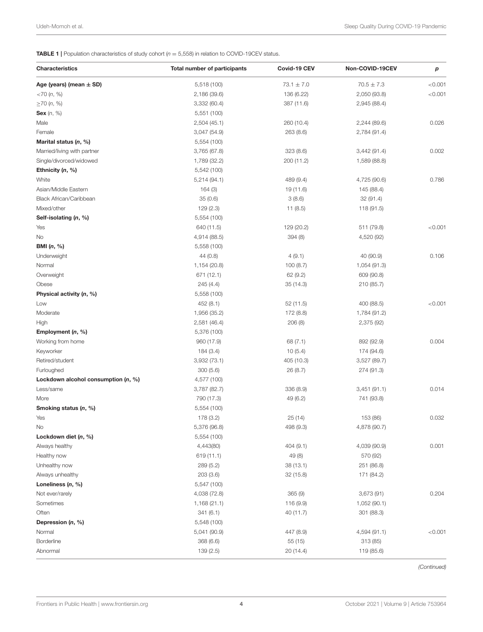<span id="page-3-0"></span>TABLE 1 | Population characteristics of study cohort (*n* = 5,558) in relation to COVID-19CEV status.

| <b>Characteristics</b>                | <b>Total number of participants</b> | Covid-19 CEV   | Non-COVID-19CEV          | р       |
|---------------------------------------|-------------------------------------|----------------|--------------------------|---------|
| Age (years) (mean $\pm$ SD)           | 5,518 (100)                         | $73.1 \pm 7.0$ | $70.5 \pm 7.3$           | < 0.001 |
| $<$ 70 $(n, %)$                       | 2,186 (39.6)                        | 136 (6.22)     | 2,050 (93.8)             | < 0.001 |
| $\geq$ 70 (n, %)                      | 3,332 (60.4)                        | 387 (11.6)     | 2,945 (88.4)             |         |
| Sex $(n, %)$                          | 5,551 (100)                         |                |                          |         |
| Male                                  | 2,504 (45.1)                        | 260 (10.4)     | 2,244 (89.6)             | 0.026   |
| Female                                | 3,047 (54.9)                        | 263 (8.6)      | 2,784 (91.4)             |         |
| Marital status $(n, %)$               | 5,554 (100)                         |                |                          |         |
| Married/living with partner           | 3,765 (67.8)                        | 323(8.6)       | 3,442 (91.4)             | 0.002   |
| Single/divorced/widowed               | 1,789 (32.2)                        | 200 (11.2)     | 1,589 (88.8)             |         |
| Ethnicity (n, %)                      | 5,542 (100)                         |                |                          |         |
| White                                 | 5,214 (94.1)                        | 489 (9.4)      | 4,725 (90.6)             | 0.786   |
| Asian/Middle Eastern                  | 164(3)                              | 19 (11.6)      | 145 (88.4)               |         |
| Black African/Caribbean               | 35(0.6)                             | 3(8.6)         | 32 (91.4)                |         |
| Mixed/other                           | 129(2.3)                            | 11(8.5)        | 118 (91.5)               |         |
| Self-isolating (n, %)                 | 5,554 (100)                         |                |                          |         |
| Yes                                   | 640 (11.5)                          | 129 (20.2)     | 511 (79.8)               | < 0.001 |
| No                                    | 4,914 (88.5)                        | 394 (8)        | 4,520 (92)               |         |
| <b>BMI</b> (n, %)                     | 5,558 (100)                         |                |                          |         |
| Underweight                           | 44 (0.8)                            | 4(9.1)         | 40 (90.9)                | 0.106   |
| Normal                                | 1,154 (20.8)                        | 100(8.7)       | 1,054 (91.3)             |         |
| Overweight                            | 671 (12.1)                          | 62(9.2)        | 609 (90.8)               |         |
| Obese                                 | 245 (4.4)                           | 35 (14.3)      | 210 (85.7)               |         |
| Physical activity (n, %)              | 5,558 (100)                         |                |                          |         |
| Low                                   | 452(8.1)                            | 52 (11.5)      | 400 (88.5)               | < 0.001 |
| Moderate                              | 1,956 (35.2)                        | 172 (8.8)      | 1,784 (91.2)             |         |
| High                                  | 2,581 (46.4)                        | 206(8)         | 2,375 (92)               |         |
| Employment $(n, %)$                   | 5,376 (100)                         |                |                          |         |
| Working from home                     | 960 (17.9)                          | 68(7.1)        | 892 (92.9)               | 0.004   |
| Keyworker                             | 184 (3.4)                           | 10(5.4)        | 174 (94.6)               |         |
| Retired/student                       | 3,932 (73.1)                        | 405 (10.3)     | 3,527 (89.7)             |         |
| Furloughed                            | 300(5.6)                            | 26 (8.7)       | 274 (91.3)               |         |
| Lockdown alcohol consumption $(n, %)$ | 4,577 (100)                         |                |                          |         |
| Less/same                             | 3,787 (82.7)                        | 336 (8.9)      | 3,451(91.1)              | 0.014   |
| More                                  | 790 (17.3)                          | 49 (6.2)       | 741 (93.8)               |         |
| Smoking status (n, %)                 | 5,554 (100)                         |                |                          |         |
| Yes                                   | 178 (3.2)                           | 25 (14)        | 153 (86)                 | 0.032   |
| No                                    | 5,376 (96.8)                        | 498 (9.3)      | 4,878 (90.7)             |         |
| Lockdown diet (n, %)                  | 5,554 (100)                         |                |                          |         |
|                                       |                                     |                |                          | 0.001   |
| Always healthy<br>Healthy now         | 4,443(80)                           | 404 (9.1)      | 4,039 (90.9)             |         |
|                                       | 619 (11.1)                          | 49 (8)         | 570 (92)                 |         |
| Unhealthy now                         | 289 (5.2)                           | 38 (13.1)      | 251 (86.8)<br>171 (84.2) |         |
| Always unhealthy                      | 203 (3.6)                           | 32 (15.8)      |                          |         |
| Loneliness $(n, %)$                   | 5,547 (100)                         |                |                          |         |
| Not ever/rarely                       | 4,038 (72.8)                        | 365(9)         | 3,673(91)                | 0.204   |
| Sometimes                             | 1,168 (21.1)                        | 116 (9.9)      | 1,052 (90.1)             |         |
| Often                                 | 341(6.1)                            | 40 (11.7)      | 301 (88.3)               |         |
| Depression $(n, %)$                   | 5,548 (100)                         |                |                          |         |
| Normal                                | 5,041 (90.9)                        | 447 (8.9)      | 4,594 (91.1)             | < 0.001 |
| <b>Borderline</b>                     | 368 (6.6)                           | 55 (15)        | 313 (85)                 |         |
| Abnormal                              | 139(2.5)                            | 20 (14.4)      | 119 (85.6)               |         |

*(Continued)*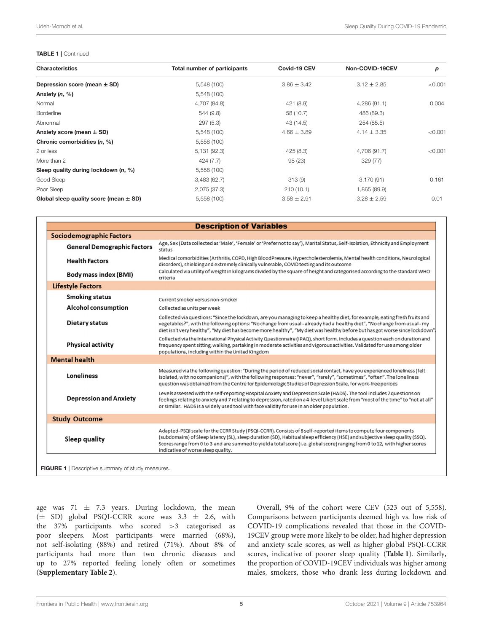#### TABLE 1 | Continued

| <b>Characteristics</b>                     | Total number of participants | Covid-19 CEV    | Non-COVID-19CEV | р       |  |
|--------------------------------------------|------------------------------|-----------------|-----------------|---------|--|
| Depression score (mean $\pm$ SD)           | 5,548 (100)                  | $3.86 \pm 3.42$ | $3.12 \pm 2.85$ | < 0.001 |  |
| Anxiety (n, %)                             | 5,548 (100)                  |                 |                 |         |  |
| Normal                                     | 4,707 (84.8)                 | 421 (8.9)       | 4,286 (91.1)    | 0.004   |  |
| <b>Borderline</b>                          | 544 (9.8)                    | 58 (10.7)       | 486 (89.3)      |         |  |
| Abnormal                                   | 297(5.3)                     | 43 (14.5)       | 254 (85.5)      |         |  |
| Anxiety score (mean $\pm$ SD)              | 5,548 (100)                  | $4.66 \pm 3.89$ | $4.14 \pm 3.35$ | < 0.001 |  |
| Chronic comorbidities (n, %)               | 5,558 (100)                  |                 |                 |         |  |
| 2 or less                                  | 5,131 (92.3)                 | 425(8.3)        | 4,706 (91.7)    | < 0.001 |  |
| More than 2                                | 424 (7.7)                    | 98 (23)         | 329 (77)        |         |  |
| Sleep quality during lockdown $(n, \%)$    | 5,558 (100)                  |                 |                 |         |  |
| Good Sleep                                 | 3,483(62.7)                  | 313(9)          | 3,170(91)       | 0.161   |  |
| Poor Sleep                                 | 2,075 (37.3)                 | 210(10.1)       | 1,865 (89.9)    |         |  |
| Global sleep quality score (mean $\pm$ SD) | 5,558 (100)                  | $3.58 \pm 2.91$ | $3.28 \pm 2.59$ | 0.01    |  |

|                                    | <b>Description of Variables</b>                                                                                                                                                                                                                                                                                                                                                                                      |
|------------------------------------|----------------------------------------------------------------------------------------------------------------------------------------------------------------------------------------------------------------------------------------------------------------------------------------------------------------------------------------------------------------------------------------------------------------------|
| Sociodemographic Factors           |                                                                                                                                                                                                                                                                                                                                                                                                                      |
| <b>General Demographic Factors</b> | Age, Sex (Data collected as 'Male', 'Female' or 'Prefer not to say'), Marital Status, Self-Isolation, Ethnicity and Employment<br>status                                                                                                                                                                                                                                                                             |
| <b>Health Factors</b>              | Medical comorbidities (Arthritis, COPD, High BloodPressure, Hypercholesterolemia, Mental health conditions, Neurological<br>disorders), shielding and extremely clinically vulnerable, COVID testing and its outcome                                                                                                                                                                                                 |
| <b>Body mass index (BMI)</b>       | Calculated via utility of weight in kilograms divided by the square of height and categorised according to the standard WHO<br>criteria                                                                                                                                                                                                                                                                              |
| <b>Lifestyle Factors</b>           |                                                                                                                                                                                                                                                                                                                                                                                                                      |
| <b>Smoking status</b>              | Current smoker versus non-smoker                                                                                                                                                                                                                                                                                                                                                                                     |
| <b>Alcohol consumption</b>         | Collected as units per week                                                                                                                                                                                                                                                                                                                                                                                          |
| <b>Dietary status</b>              | Collected via questions: "Since the lockdown, are you managing to keep a healthy diet, for example, eating fresh fruits and<br>vegetables?", with the following options: "No change from usual - already had a healthy diet", "No change from usual - my<br>diet isn't very healthy", "My diet has become more healthy", "My diet was healthy before but has got worse since lockdown".                              |
| <b>Physical activity</b>           | Collected via the International Physical Activity Questionnaire (IPAQ), short form. Includes a question each on duration and<br>frequency spent sitting, walking, partaking in moderate activities and vigorous activities. Validated for use among older<br>populations, including within the United Kingdom                                                                                                        |
| <b>Mental health</b>               |                                                                                                                                                                                                                                                                                                                                                                                                                      |
| <b>Loneliness</b>                  | Measured via the following question: "During the period of reduced social contact, have you experienced loneliness (felt<br>isolated, with no companions)", with the following responses: "never", "rarely", "sometimes", "often". The loneliness<br>question was obtained from the Centre for Epidemiologic Studies of Depression Scale, for work-free periods                                                      |
| <b>Depression and Anxiety</b>      | Levels assessed with the self-reporting Hospital Anxiety and Depression Scale (HADS). The tool includes 7 questions on<br>feelings relating to anxiety and 7 relating to depression, rated on a 4-level Likert scale from "most of the time" to "not at all"<br>or similar. HADS is a widely used tool with face validity for use in an older population.                                                            |
| <b>Study Outcome</b>               |                                                                                                                                                                                                                                                                                                                                                                                                                      |
| Sleep quality                      | Adapted-PSQI scale for the CCRR Study (PSQI-CCRR). Consists of 8 self-reported items to compute four components<br>(subdomains) of Sleep latency (SL), sleep duration (SD), Habitual sleep efficiency (HSE) and subjective sleep quality (SSQ).<br>Scores range from 0 to 3 and are summed to yield a total score (i.e. global score) ranging from 0 to 12, with higher scores<br>indicative of worse sleep quality. |

<span id="page-4-0"></span>age was 71  $\pm$  7.3 years. During lockdown, the mean (± SD) global PSQI-CCRR score was 3.3 ± 2.6, with the 37% participants who scored >3 categorised as poor sleepers. Most participants were married (68%), not self-isolating (88%) and retired (71%). About 8% of participants had more than two chronic diseases and up to 27% reported feeling lonely often or sometimes (**[Supplementary Table 2](#page-9-2)**).

Overall, 9% of the cohort were CEV (523 out of 5,558). Comparisons between participants deemed high vs. low risk of COVID-19 complications revealed that those in the COVID-19CEV group were more likely to be older, had higher depression and anxiety scale scores, as well as higher global PSQI-CCRR scores, indicative of poorer sleep quality (**[Table 1](#page-3-0)**). Similarly, the proportion of COVID-19CEV individuals was higher among males, smokers, those who drank less during lockdown and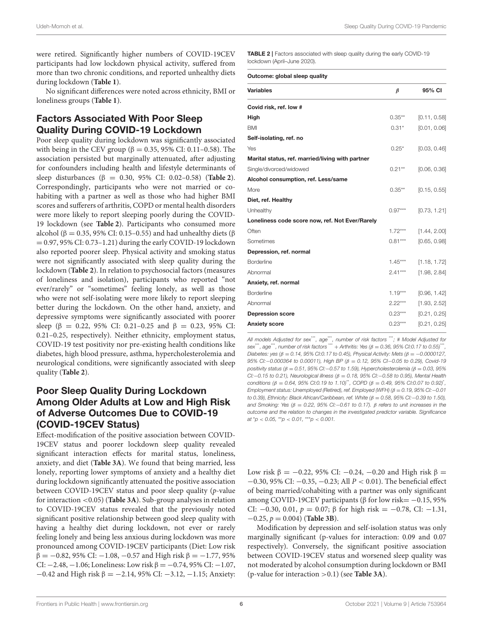were retired. Significantly higher numbers of COVID-19CEV participants had low lockdown physical activity, suffered from more than two chronic conditions, and reported unhealthy diets during lockdown (**[Table 1](#page-3-0)**).

No significant differences were noted across ethnicity, BMI or loneliness groups (**[Table 1](#page-3-0)**).

# Factors Associated With Poor Sleep Quality During COVID-19 Lockdown

Poor sleep quality during lockdown was significantly associated with being in the CEV group (β = 0.35, 95% CI: 0.11–0.58). The association persisted but marginally attenuated, after adjusting for confounders including health and lifestyle determinants of sleep disturbances (β = 0.30, 95% CI: 0.02–0.58) (**[Table 2](#page-5-0)**). Correspondingly, participants who were not married or cohabiting with a partner as well as those who had higher BMI scores and sufferers of arthritis, COPD or mental health disorders were more likely to report sleeping poorly during the COVID-19 lockdown (see **[Table 2](#page-5-0)**). Participants who consumed more alcohol (β = 0.35, 95% CI: 0.15–0.55) and had unhealthy diets (β  $= 0.97, 95\%$  CI: 0.73–1.21) during the early COVID-19 lockdown also reported poorer sleep. Physical activity and smoking status were not significantly associated with sleep quality during the lockdown (**[Table 2](#page-5-0)**). In relation to psychosocial factors (measures of loneliness and isolation), participants who reported "not ever/rarely" or "sometimes" feeling lonely, as well as those who were not self-isolating were more likely to report sleeping better during the lockdown. On the other hand, anxiety, and depressive symptoms were significantly associated with poorer sleep ( $\beta$  = 0.22, 95% CI: 0.21–0.25 and  $\beta$  = 0.23, 95% CI: 0.21–0.25, respectively). Neither ethnicity, employment status, COVID-19 test positivity nor pre-existing health conditions like diabetes, high blood pressure, asthma, hypercholesterolemia and neurological conditions, were significantly associated with sleep quality (**[Table 2](#page-5-0)**).

# Poor Sleep Quality During Lockdown Among Older Adults at Low and High Risk of Adverse Outcomes Due to COVID-19 (COVID-19CEV Status)

Effect-modification of the positive association between COVID-19CEV status and poorer lockdown sleep quality revealed significant interaction effects for marital status, loneliness, anxiety, and diet (**[Table 3A](#page-6-0)**). We found that being married, less lonely, reporting lower symptoms of anxiety and a healthy diet during lockdown significantly attenuated the positive association between COVID-19CEV status and poor sleep quality (p-value for interaction <0.05) (**[Table 3A](#page-6-0)**). Sub-group analyses in relation to COVID-19CEV status revealed that the previously noted significant positive relationship between good sleep quality with having a healthy diet during lockdown, not ever or rarely feeling lonely and being less anxious during lockdown was more pronounced among COVID-19CEV participants (Diet: Low risk  $β = -0.82$ , 95% CI:  $-1.08$ ,  $-0.57$  and High risk  $β = -1.77$ , 95% CI: −2.48, −1.06; Loneliness: Low risk  $β = −0.74$ , 95% CI: −1.07,  $-0.42$  and High risk  $\beta = -2.14$ , 95% CI:  $-3.12$ ,  $-1.15$ ; Anxiety:

<span id="page-5-0"></span>TABLE 2 | Factors associated with sleep quality during the early COVID-19 lockdown (April–June 2020).

#### Outcome: global sleep quality

| <b>Variables</b>                                 | $\beta$   | 95% CI       |
|--------------------------------------------------|-----------|--------------|
| Covid risk, ref. low #                           |           |              |
| High                                             | $0.35***$ | [0.11, 0.58] |
| <b>BMI</b>                                       | $0.31*$   | [0.01, 0.06] |
| Self-isolating, ref. no                          |           |              |
| Yes                                              | $0.25*$   | [0.03, 0.46] |
| Marital status, ref. married/living with partner |           |              |
| Single/divorced/widowed                          | $0.21**$  | [0.06, 0.36] |
| Alcohol consumption, ref. Less/same              |           |              |
| More                                             | $0.35***$ | [0.15, 0.55] |
| Diet, ref. Healthy                               |           |              |
| Unhealthy                                        | $0.97***$ | [0.73, 1.21] |
| Loneliness code score now, ref. Not Ever/Rarely  |           |              |
| Often                                            | $1.72***$ | [1.44, 2.00] |
| Sometimes                                        | $0.81***$ | [0.65, 0.98] |
| Depression, ref. normal                          |           |              |
| <b>Borderline</b>                                | $1.45***$ | [1.18, 1.72] |
| Abnormal                                         | $2.41***$ | [1.98, 2.84] |
| Anxiety, ref. normal                             |           |              |
| <b>Borderline</b>                                | $1.19***$ | [0.96, 1.42] |
| Abnormal                                         | $2.22***$ | [1.93, 2.52] |
| <b>Depression score</b>                          | $0.23***$ | [0.21, 0.25] |
| <b>Anxiety score</b>                             | $0.23***$ | [0.21, 0.25] |

*All models Adjusted for sex*\*\*\**, age*\*\*\**, number of risk factors* \*\*\**; # Model Adjusted for sex*\*\*\**, age*\*\*\**, number of risk factors* \*\*\* + *Arthritis: Yes (*β = *0.36, 95% CI:0.17 to 0.55)*\*\*\* *, Diabetes: yes (*β = *0.14, 95% CI:0.17 to 0.45), Physical Activity: Mets (*β = −*0.0000127, 95% CI:*−*0.000364 to 0.00011), High BP (*β = *0.12, 95% CI*−*0.05 to 0.29), Covid-19 positivity status (*β = *0.51, 95% CI:*−*0.57 to 1.59), Hypercholesterolemia (*β = *0.03, 95% CI:*−*0.15 to 0.21), Neurological illness (*β = *0.18, 95% CI:*−*0.58 to 0.95), Mental Health conditions (β = 0.64, 95% CI:0.19 to 1.10)*<sup>\*\*</sup>, *COPD (β = 0.49, 95% CI:0.07 to 0.92)*<sup>\*</sup>, *Employment status: Unemployed (Retired), ref. Employed (WFH) (*β = *0.19, 95% CI:*−*0.01 to 0.39), Ethnicity: Black African/Caribbean, ref. White (*β = *0.58, 95% CI:*−*0.39 to 1.50), and Smoking: Yes (*β = *0.22, 95% CI:*−*0.61 to 0.17).* β *refers to unit increases in the outcome and the relation to changes in the investigated predictor variable. Significance at* \**p* < *0.05,* \*\**p* < *0.01,* \*\*\**p* < *0.001.*

Low risk  $β = -0.22$ , 95% CI:  $-0.24$ ,  $-0.20$  and High risk  $β =$ −0.30, 95% CI: −0.35, −0.23; All P < 0.01). The beneficial effect of being married/cohabiting with a partner was only significant among COVID-19CEV participants (β for low risk=  $-0.15$ , 95% CI:  $-0.30$ , 0.01,  $p = 0.07$ ; β for high risk =  $-0.78$ , CI:  $-1.31$ , −0.25, p = 0.004) (**[Table 3B](#page-6-1)**).

Modification by depression and self-isolation status was only marginally significant (p-values for interaction: 0.09 and 0.07 respectively). Conversely, the significant positive association between COVID-19CEV status and worsened sleep quality was not moderated by alcohol consumption during lockdown or BMI (p-value for interaction >0.1) (see **[Table 3A](#page-6-0)**).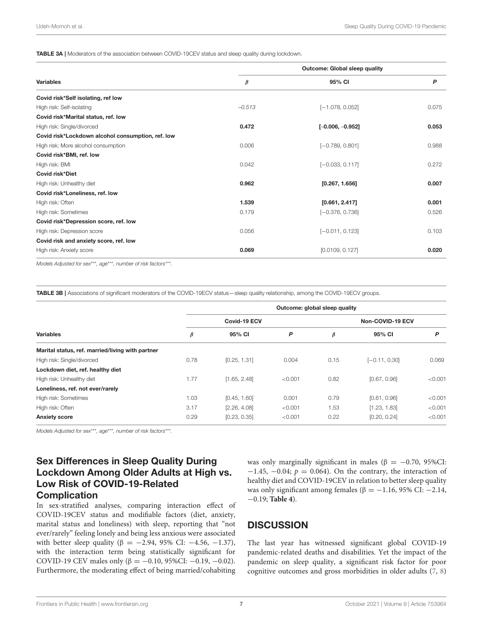<span id="page-6-0"></span>TABLE 3A | Moderators of the association between COVID-19CEV status and sleep quality during lockdown.

|                                                   | <b>Outcome: Global sleep quality</b> |                    |       |  |  |
|---------------------------------------------------|--------------------------------------|--------------------|-------|--|--|
| <b>Variables</b>                                  | β                                    | 95% CI             | P     |  |  |
| Covid risk*Self isolating, ref low                |                                      |                    |       |  |  |
| High risk: Self-isolating                         | $-0.513$                             | $[-1.078, 0.052]$  | 0.075 |  |  |
| Covid risk*Marital status, ref. low               |                                      |                    |       |  |  |
| High risk: Single/divorced                        | 0.472                                | $[-0.006, -0.952]$ | 0.053 |  |  |
| Covid risk*Lockdown alcohol consumption, ref. low |                                      |                    |       |  |  |
| High risk: More alcohol consumption               | 0.006                                | $[-0.789, 0.801]$  | 0.988 |  |  |
| Covid risk*BMI, ref. low                          |                                      |                    |       |  |  |
| High risk: BMI                                    | 0.042                                | $[-0.033, 0.117]$  | 0.272 |  |  |
| Covid risk*Diet                                   |                                      |                    |       |  |  |
| High risk: Unhealthy diet                         | 0.962                                | [0.267, 1.656]     | 0.007 |  |  |
| Covid risk*Loneliness, ref. low                   |                                      |                    |       |  |  |
| High risk: Often                                  | 1.539                                | [0.661, 2.417]     | 0.001 |  |  |
| High risk: Sometimes                              | 0.179                                | $[-0.376, 0.736]$  | 0.526 |  |  |
| Covid risk*Depression score, ref. low             |                                      |                    |       |  |  |
| High risk: Depression score                       | 0.056                                | $[-0.011, 0.123]$  | 0.103 |  |  |
| Covid risk and anxiety score, ref. low            |                                      |                    |       |  |  |
| High risk: Anxiety score                          | 0.069                                | [0.0109, 0.127]    | 0.020 |  |  |

*Models Adjusted for sex*\*\*\**, age*\*\*\**, number of risk factors*\*\*\**.*

<span id="page-6-1"></span>TABLE 3B | Associations of significant moderators of the COVID-19ECV status—sleep quality relationship, among the COVID-19ECV groups.

|                                                  | Outcome: global sleep quality |              |         |                  |                 |         |  |
|--------------------------------------------------|-------------------------------|--------------|---------|------------------|-----------------|---------|--|
|                                                  | Covid-19 ECV                  |              |         | Non-COVID-19 ECV |                 |         |  |
| <b>Variables</b>                                 | $\beta$                       | 95% CI       | P       | β                | 95% CI          | P       |  |
| Marital status, ref. married/living with partner |                               |              |         |                  |                 |         |  |
| High risk: Single/divorced                       | 0.78                          | [0.25, 1.31] | 0.004   | 0.15             | $[-0.11, 0.30]$ | 0.069   |  |
| Lockdown diet, ref. healthy diet                 |                               |              |         |                  |                 |         |  |
| High risk: Unhealthy diet                        | 1.77                          | [1.65, 2.48] | < 0.001 | 0.82             | [0.67, 0.96]    | < 0.001 |  |
| Loneliness, ref. not ever/rarely                 |                               |              |         |                  |                 |         |  |
| High risk: Sometimes                             | 1.03                          | [0.45, 1.60] | 0.001   | 0.79             | [0.61, 0.96]    | < 0.001 |  |
| High risk: Often                                 | 3.17                          | [2.26, 4.08] | < 0.001 | 1.53             | [1.23, 1.83]    | < 0.001 |  |
| <b>Anxiety score</b>                             | 0.29                          | [0.23, 0.35] | < 0.001 | 0.22             | [0.20, 0.24]    | < 0.001 |  |

*Models Adjusted for sex*\*\*\**, age*\*\*\**, number of risk factors*\*\*\**.*

# Sex Differences in Sleep Quality During Lockdown Among Older Adults at High vs. Low Risk of COVID-19-Related **Complication**

In sex-stratified analyses, comparing interaction effect of COVID-19CEV status and modifiable factors (diet, anxiety, marital status and loneliness) with sleep, reporting that "not ever/rarely" feeling lonely and being less anxious were associated with better sleep quality (β = -2.94, 95% CI: -4.56, -1.37), with the interaction term being statistically significant for COVID-19 CEV males only (β = -0.10, 95%CI: -0.19, -0.02). Furthermore, the moderating effect of being married/cohabiting was only marginally significant in males ( $β = -0.70$ , 95%CI:  $-1.45$ ,  $-0.04$ ;  $p = 0.064$ ). On the contrary, the interaction of healthy diet and COVID-19CEV in relation to better sleep quality was only significant among females ( $\beta = -1.16$ , 95% CI: -2.14, −0.19; **[Table 4](#page-7-0)**).

# **DISCUSSION**

The last year has witnessed significant global COVID-19 pandemic-related deaths and disabilities. Yet the impact of the pandemic on sleep quality, a significant risk factor for poor cognitive outcomes and gross morbidities in older adults [\(7,](#page-10-4) [8\)](#page-10-5)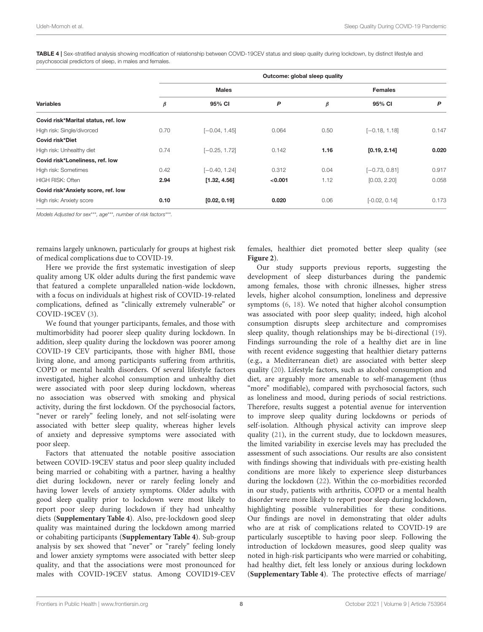<span id="page-7-0"></span>TABLE 4 | Sex-stratified analysis showing modification of relationship between COVID-19CEV status and sleep quality during lockdown, by distinct lifestyle and psychosocial predictors of sleep, in males and females.

| <b>Variables</b>                    |      | Outcome: global sleep quality |         |      |                 |       |  |  |
|-------------------------------------|------|-------------------------------|---------|------|-----------------|-------|--|--|
|                                     |      | <b>Males</b>                  |         |      | <b>Females</b>  |       |  |  |
|                                     | β    | 95% CI                        | P       | β    | 95% CI          | P     |  |  |
| Covid risk*Marital status, ref. low |      |                               |         |      |                 |       |  |  |
| High risk: Single/divorced          | 0.70 | $[-0.04, 1.45]$               | 0.064   | 0.50 | $[-0.18, 1.18]$ | 0.147 |  |  |
| Covid risk*Diet                     |      |                               |         |      |                 |       |  |  |
| High risk: Unhealthy diet           | 0.74 | $[-0.25, 1.72]$               | 0.142   | 1.16 | [0.19, 2.14]    | 0.020 |  |  |
| Covid risk*Loneliness, ref. low     |      |                               |         |      |                 |       |  |  |
| High risk: Sometimes                | 0.42 | $[-0.40, 1.24]$               | 0.312   | 0.04 | $[-0.73, 0.81]$ | 0.917 |  |  |
| <b>HIGH RISK: Often</b>             | 2.94 | [1.32, 4.56]                  | < 0.001 | 1.12 | [0.03, 2.20]    | 0.058 |  |  |
| Covid risk*Anxiety score, ref. low  |      |                               |         |      |                 |       |  |  |
| High risk: Anxiety score            | 0.10 | [0.02, 0.19]                  | 0.020   | 0.06 | $[-0.02, 0.14]$ | 0.173 |  |  |

*Models Adjusted for sex*\*\*\**, age*\*\*\**, number of risk factors*\*\*\**.*

remains largely unknown, particularly for groups at highest risk of medical complications due to COVID-19.

Here we provide the first systematic investigation of sleep quality among UK older adults during the first pandemic wave that featured a complete unparalleled nation-wide lockdown, with a focus on individuals at highest risk of COVID-19-related complications, defined as "clinically extremely vulnerable" or COVID-19CEV [\(3\)](#page-10-0).

We found that younger participants, females, and those with multimorbidity had poorer sleep quality during lockdown. In addition, sleep quality during the lockdown was poorer among COVID-19 CEV participants, those with higher BMI, those living alone, and among participants suffering from arthritis, COPD or mental health disorders. Of several lifestyle factors investigated, higher alcohol consumption and unhealthy diet were associated with poor sleep during lockdown, whereas no association was observed with smoking and physical activity, during the first lockdown. Of the psychosocial factors, "never or rarely" feeling lonely, and not self-isolating were associated with better sleep quality, whereas higher levels of anxiety and depressive symptoms were associated with poor sleep.

Factors that attenuated the notable positive association between COVID-19CEV status and poor sleep quality included being married or cohabiting with a partner, having a healthy diet during lockdown, never or rarely feeling lonely and having lower levels of anxiety symptoms. Older adults with good sleep quality prior to lockdown were most likely to report poor sleep during lockdown if they had unhealthy diets (**[Supplementary Table 4](#page-9-2)**). Also, pre-lockdown good sleep quality was maintained during the lockdown among married or cohabiting participants (**[Supplementary Table 4](#page-9-2)**). Sub-group analysis by sex showed that "never" or "rarely" feeling lonely and lower anxiety symptoms were associated with better sleep quality, and that the associations were most pronounced for males with COVID-19CEV status. Among COVID19-CEV

females, healthier diet promoted better sleep quality (see **[Figure 2](#page-8-0)**).

Our study supports previous reports, suggesting the development of sleep disturbances during the pandemic among females, those with chronic illnesses, higher stress levels, higher alcohol consumption, loneliness and depressive symptoms [\(6,](#page-10-3) [18\)](#page-10-15). We noted that higher alcohol consumption was associated with poor sleep quality; indeed, high alcohol consumption disrupts sleep architecture and compromises sleep quality, though relationships may be bi-directional [\(19\)](#page-10-16). Findings surrounding the role of a healthy diet are in line with recent evidence suggesting that healthier dietary patterns (e.g., a Mediterranean diet) are associated with better sleep quality [\(20\)](#page-10-17). Lifestyle factors, such as alcohol consumption and diet, are arguably more amenable to self-management (thus "more" modifiable), compared with psychosocial factors, such as loneliness and mood, during periods of social restrictions. Therefore, results suggest a potential avenue for intervention to improve sleep quality during lockdowns or periods of self-isolation. Although physical activity can improve sleep quality [\(21\)](#page-10-18), in the current study, due to lockdown measures, the limited variability in exercise levels may has precluded the assessment of such associations. Our results are also consistent with findings showing that individuals with pre-existing health conditions are more likely to experience sleep disturbances during the lockdown [\(22\)](#page-10-19). Within the co-morbidities recorded in our study, patients with arthritis, COPD or a mental health disorder were more likely to report poor sleep during lockdown, highlighting possible vulnerabilities for these conditions. Our findings are novel in demonstrating that older adults who are at risk of complications related to COVID-19 are particularly susceptible to having poor sleep. Following the introduction of lockdown measures, good sleep quality was noted in high-risk participants who were married or cohabiting, had healthy diet, felt less lonely or anxious during lockdown (**[Supplementary Table 4](#page-9-2)**). The protective effects of marriage/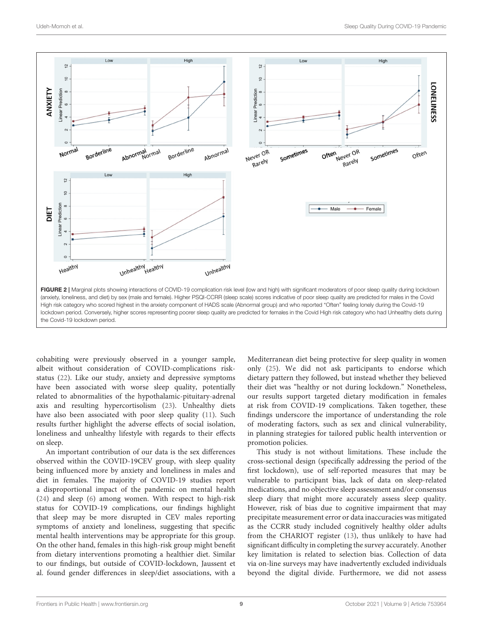

<span id="page-8-0"></span>cohabiting were previously observed in a younger sample, albeit without consideration of COVID-complications riskstatus [\(22\)](#page-10-19). Like our study, anxiety and depressive symptoms have been associated with worse sleep quality, potentially related to abnormalities of the hypothalamic-pituitary-adrenal axis and resulting hypercortisolism [\(23\)](#page-10-20). Unhealthy diets have also been associated with poor sleep quality [\(11\)](#page-10-8). Such results further highlight the adverse effects of social isolation, loneliness and unhealthy lifestyle with regards to their effects on sleep.

An important contribution of our data is the sex differences observed within the COVID-19CEV group, with sleep quality being influenced more by anxiety and loneliness in males and diet in females. The majority of COVID-19 studies report a disproportional impact of the pandemic on mental health [\(24\)](#page-10-21) and sleep [\(6\)](#page-10-3) among women. With respect to high-risk status for COVID-19 complications, our findings highlight that sleep may be more disrupted in CEV males reporting symptoms of anxiety and loneliness, suggesting that specific mental health interventions may be appropriate for this group. On the other hand, females in this high-risk group might benefit from dietary interventions promoting a healthier diet. Similar to our findings, but outside of COVID-lockdown, Jaussent et al. found gender differences in sleep/diet associations, with a

Mediterranean diet being protective for sleep quality in women only [\(25\)](#page-10-22). We did not ask participants to endorse which dietary pattern they followed, but instead whether they believed their diet was "healthy or not during lockdown." Nonetheless, our results support targeted dietary modification in females at risk from COVID-19 complications. Taken together, these findings underscore the importance of understanding the role of moderating factors, such as sex and clinical vulnerability, in planning strategies for tailored public health intervention or promotion policies.

This study is not without limitations. These include the cross-sectional design (specifically addressing the period of the first lockdown), use of self-reported measures that may be vulnerable to participant bias, lack of data on sleep-related medications, and no objective sleep assessment and/or consensus sleep diary that might more accurately assess sleep quality. However, risk of bias due to cognitive impairment that may precipitate measurement error or data inaccuracies was mitigated as the CCRR study included cognitively healthy older adults from the CHARIOT register [\(13\)](#page-10-10), thus unlikely to have had significant difficulty in completing the survey accurately. Another key limitation is related to selection bias. Collection of data via on-line surveys may have inadvertently excluded individuals beyond the digital divide. Furthermore, we did not assess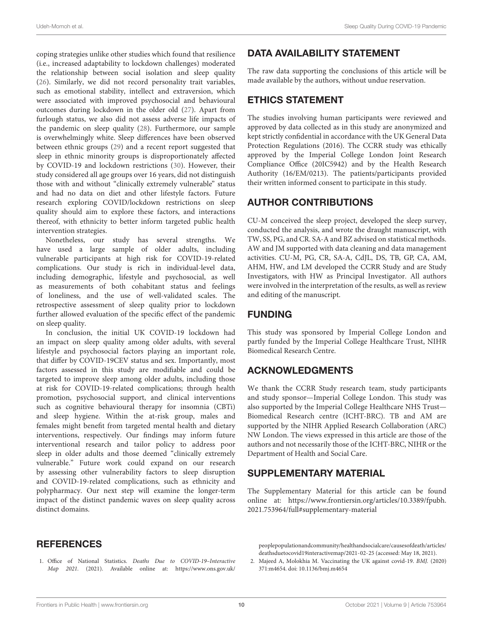coping strategies unlike other studies which found that resilience (i.e., increased adaptability to lockdown challenges) moderated the relationship between social isolation and sleep quality [\(26\)](#page-10-23). Similarly, we did not record personality trait variables, such as emotional stability, intellect and extraversion, which were associated with improved psychosocial and behavioural outcomes during lockdown in the older old [\(27\)](#page-10-24). Apart from furlough status, we also did not assess adverse life impacts of the pandemic on sleep quality [\(28\)](#page-10-25). Furthermore, our sample is overwhelmingly white. Sleep differences have been observed between ethnic groups [\(29\)](#page-10-26) and a recent report suggested that sleep in ethnic minority groups is disproportionately affected by COVID-19 and lockdown restrictions [\(30\)](#page-10-27). However, their study considered all age groups over 16 years, did not distinguish those with and without "clinically extremely vulnerable" status and had no data on diet and other lifestyle factors. Future research exploring COVID/lockdown restrictions on sleep quality should aim to explore these factors, and interactions thereof, with ethnicity to better inform targeted public health intervention strategies.

Nonetheless, our study has several strengths. We have used a large sample of older adults, including vulnerable participants at high risk for COVID-19-related complications. Our study is rich in individual-level data, including demographic, lifestyle and psychosocial, as well as measurements of both cohabitant status and feelings of loneliness, and the use of well-validated scales. The retrospective assessment of sleep quality prior to lockdown further allowed evaluation of the specific effect of the pandemic on sleep quality.

In conclusion, the initial UK COVID-19 lockdown had an impact on sleep quality among older adults, with several lifestyle and psychosocial factors playing an important role, that differ by COVID-19CEV status and sex. Importantly, most factors assessed in this study are modifiable and could be targeted to improve sleep among older adults, including those at risk for COVID-19-related complications; through health promotion, psychosocial support, and clinical interventions such as cognitive behavioural therapy for insomnia (CBTi) and sleep hygiene. Within the at-risk group, males and females might benefit from targeted mental health and dietary interventions, respectively. Our findings may inform future interventional research and tailor policy to address poor sleep in older adults and those deemed "clinically extremely vulnerable." Future work could expand on our research by assessing other vulnerability factors to sleep disruption and COVID-19-related complications, such as ethnicity and polypharmacy. Our next step will examine the longer-term impact of the distinct pandemic waves on sleep quality across distinct domains.

### **REFERENCES**

<span id="page-9-0"></span>1. Office of National Statistics. Deaths Due to COVID-19–Interactive Map 2021. (2021). Available online at: [https://www.ons.gov.uk/](https://www.ons.gov.uk/peoplepopulationandcommunity/healthandsocialcare/causesofdeath/articles/deathsduetocovid19interactivemap/2021-02-25)

# DATA AVAILABILITY STATEMENT

The raw data supporting the conclusions of this article will be made available by the authors, without undue reservation.

### ETHICS STATEMENT

The studies involving human participants were reviewed and approved by data collected as in this study are anonymized and kept strictly confidential in accordance with the UK General Data Protection Regulations (2016). The CCRR study was ethically approved by the Imperial College London Joint Research Compliance Office (20IC5942) and by the Health Research Authority (16/EM/0213). The patients/participants provided their written informed consent to participate in this study.

## AUTHOR CONTRIBUTIONS

CU-M conceived the sleep project, developed the sleep survey, conducted the analysis, and wrote the draught manuscript, with TW, SS, PG, and CR. SA-A and BZ advised on statistical methods. AW and JM supported with data cleaning and data management activities. CU-M, PG, CR, SA-A, CdJL, DS, TB, GP, CA, AM, AHM, HW, and LM developed the CCRR Study and are Study Investigators, with HW as Principal Investigator. All authors were involved in the interpretation of the results, as well as review and editing of the manuscript.

### FUNDING

This study was sponsored by Imperial College London and partly funded by the Imperial College Healthcare Trust, NIHR Biomedical Research Centre.

### ACKNOWLEDGMENTS

We thank the CCRR Study research team, study participants and study sponsor—Imperial College London. This study was also supported by the Imperial College Healthcare NHS Trust— Biomedical Research centre (ICHT-BRC). TB and AM are supported by the NIHR Applied Research Collaboration (ARC) NW London. The views expressed in this article are those of the authors and not necessarily those of the ICHT-BRC, NIHR or the Department of Health and Social Care.

### SUPPLEMENTARY MATERIAL

<span id="page-9-2"></span>The Supplementary Material for this article can be found [online at: https://www.frontiersin.org/articles/10.3389/fpubh.](https://www.frontiersin.org/articles/10.3389/fpubh.2021.753964/full#supplementary-material) 2021.753964/full#supplementary-material

[peoplepopulationandcommunity/healthandsocialcare/causesofdeath/articles/](https://www.ons.gov.uk/peoplepopulationandcommunity/healthandsocialcare/causesofdeath/articles/deathsduetocovid19interactivemap/2021-02-25) [deathsduetocovid19interactivemap/2021-02-25](https://www.ons.gov.uk/peoplepopulationandcommunity/healthandsocialcare/causesofdeath/articles/deathsduetocovid19interactivemap/2021-02-25) (accessed: May 18, 2021).

<span id="page-9-1"></span>2. Majeed A, Molokhia M. Vaccinating the UK against covid-19. BMJ. (2020) 371:m4654. doi: [10.1136/bmj.m4654](https://doi.org/10.1136/bmj.m4654)